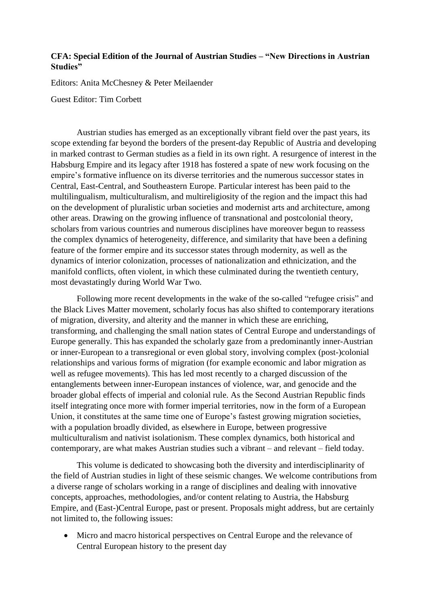## **CFA: Special Edition of the Journal of Austrian Studies – "New Directions in Austrian Studies"**

Editors: Anita McChesney & Peter Meilaender

Guest Editor: Tim Corbett

Austrian studies has emerged as an exceptionally vibrant field over the past years, its scope extending far beyond the borders of the present-day Republic of Austria and developing in marked contrast to German studies as a field in its own right. A resurgence of interest in the Habsburg Empire and its legacy after 1918 has fostered a spate of new work focusing on the empire's formative influence on its diverse territories and the numerous successor states in Central, East-Central, and Southeastern Europe. Particular interest has been paid to the multilingualism, multiculturalism, and multireligiosity of the region and the impact this had on the development of pluralistic urban societies and modernist arts and architecture, among other areas. Drawing on the growing influence of transnational and postcolonial theory, scholars from various countries and numerous disciplines have moreover begun to reassess the complex dynamics of heterogeneity, difference, and similarity that have been a defining feature of the former empire and its successor states through modernity, as well as the dynamics of interior colonization, processes of nationalization and ethnicization, and the manifold conflicts, often violent, in which these culminated during the twentieth century, most devastatingly during World War Two.

Following more recent developments in the wake of the so-called "refugee crisis" and the Black Lives Matter movement, scholarly focus has also shifted to contemporary iterations of migration, diversity, and alterity and the manner in which these are enriching, transforming, and challenging the small nation states of Central Europe and understandings of Europe generally. This has expanded the scholarly gaze from a predominantly inner-Austrian or inner-European to a transregional or even global story, involving complex (post-)colonial relationships and various forms of migration (for example economic and labor migration as well as refugee movements). This has led most recently to a charged discussion of the entanglements between inner-European instances of violence, war, and genocide and the broader global effects of imperial and colonial rule. As the Second Austrian Republic finds itself integrating once more with former imperial territories, now in the form of a European Union, it constitutes at the same time one of Europe's fastest growing migration societies, with a population broadly divided, as elsewhere in Europe, between progressive multiculturalism and nativist isolationism. These complex dynamics, both historical and contemporary, are what makes Austrian studies such a vibrant – and relevant – field today.

This volume is dedicated to showcasing both the diversity and interdisciplinarity of the field of Austrian studies in light of these seismic changes. We welcome contributions from a diverse range of scholars working in a range of disciplines and dealing with innovative concepts, approaches, methodologies, and/or content relating to Austria, the Habsburg Empire, and (East-)Central Europe, past or present. Proposals might address, but are certainly not limited to, the following issues:

 Micro and macro historical perspectives on Central Europe and the relevance of Central European history to the present day